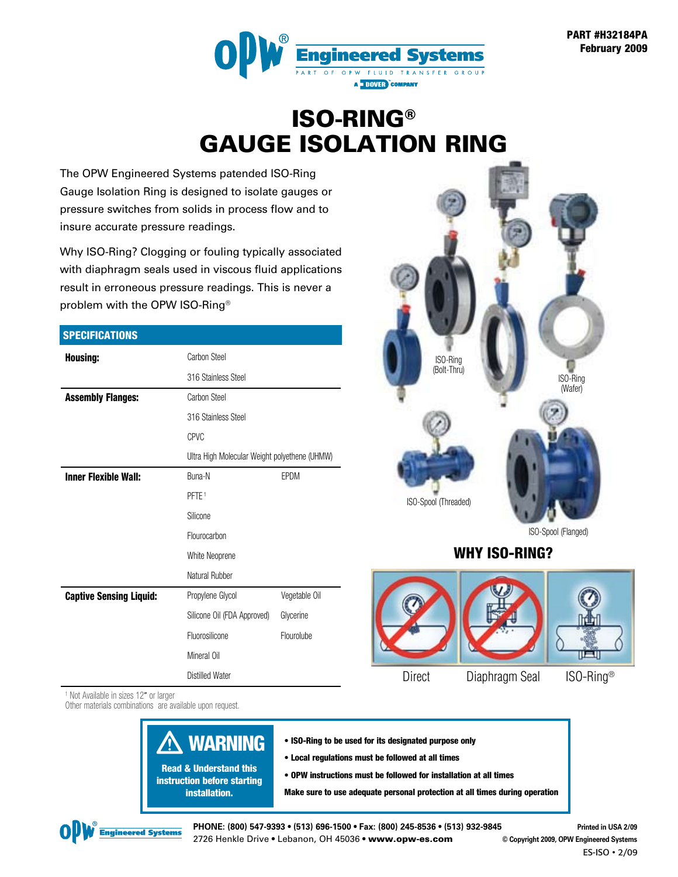

### ISO-RING® GAUGE ISOLATION RING

The OPW Engineered Systems patended ISO-Ring Gauge Isolation Ring is designed to isolate gauges or pressure switches from solids in process flow and to insure accurate pressure readings.

Why ISO-Ring? Clogging or fouling typically associated with diaphragm seals used in viscous fluid applications result in erroneous pressure readings. This is never a problem with the OPW ISO-Ring®

#### **SPECIFICATIONS**

| <b>Housing:</b>                | Carbon Steel                                  |               |  |  |  |
|--------------------------------|-----------------------------------------------|---------------|--|--|--|
|                                | 316 Stainless Steel                           |               |  |  |  |
| <b>Assembly Flanges:</b>       | Carbon Steel                                  |               |  |  |  |
|                                | 316 Stainless Steel                           |               |  |  |  |
|                                | <b>CPVC</b>                                   |               |  |  |  |
|                                | Ultra High Molecular Weight polyethene (UHMW) |               |  |  |  |
| <b>Inner Flexible Wall:</b>    | Buna-N                                        | EPDM          |  |  |  |
|                                | PFTE <sup>1</sup>                             |               |  |  |  |
|                                | Silicone                                      |               |  |  |  |
|                                | Flourocarbon                                  |               |  |  |  |
|                                | White Neoprene                                |               |  |  |  |
|                                | Natural Rubber                                |               |  |  |  |
| <b>Captive Sensing Liquid:</b> | Propylene Glycol                              | Vegetable Oil |  |  |  |
|                                | Silicone Oil (FDA Approved)                   | Glycerine     |  |  |  |
|                                | Fluorosilicone                                | Flourolube    |  |  |  |
|                                | Mineral Oil                                   |               |  |  |  |
|                                | <b>Distilled Water</b>                        |               |  |  |  |



### WHY ISO-RING?



1 Not Available in sizes 12" or larger

Other materials combinations are available upon request.

### WARNING

Read & Understand this instruction before starting installation.

- ISO-Ring to be used for its designated purpose only • Local regulations must be followed at all times
- OPW instructions must be followed for installation at all times

Make sure to use adequate personal protection at all times during operation



**PHONE: (800) 547-9393 • (513) 696-1500 • Fax: (800) 245-8536 • (513) 932-9845 Printed in USA 2/09** 2726 Henkle Drive • Lebanon, OH 45036 **•** www.opw-es.com **© Copyright 2009, OPW Engineered Systems**

ES-ISO • 2/09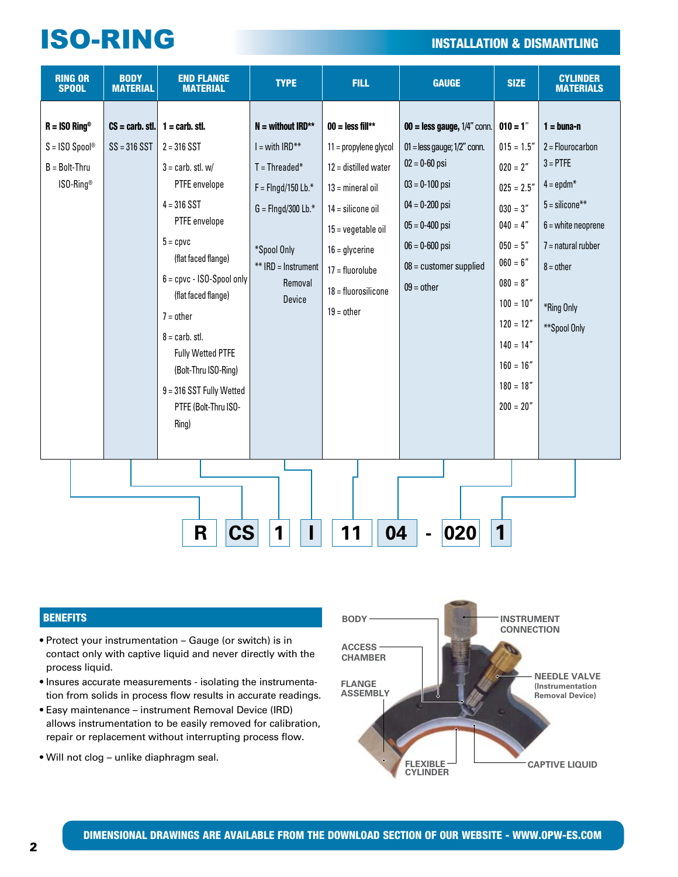## **ISO-RING INSTALLATION & DISMANTLING**

| <b>RING OR</b><br><b>SPOOL</b>                                      | <b>BODY</b><br><b>MATERIAL</b> | <b>END FLANGE</b><br><b>MATERIAL</b>                                                                                                                                                                                                                                                                                                                                                           | <b>TYPE</b>                                                                                                                                                           | <b>FILL</b>                                                                                                                                                                                                                   | <b>GAUGE</b>                                                                                                                                                                                                                  | <b>SIZE</b>                                                                                                                                                                                                              | <b>CYLINDER</b><br><b>MATERIALS</b>                                                                                                                                                               |
|---------------------------------------------------------------------|--------------------------------|------------------------------------------------------------------------------------------------------------------------------------------------------------------------------------------------------------------------------------------------------------------------------------------------------------------------------------------------------------------------------------------------|-----------------------------------------------------------------------------------------------------------------------------------------------------------------------|-------------------------------------------------------------------------------------------------------------------------------------------------------------------------------------------------------------------------------|-------------------------------------------------------------------------------------------------------------------------------------------------------------------------------------------------------------------------------|--------------------------------------------------------------------------------------------------------------------------------------------------------------------------------------------------------------------------|---------------------------------------------------------------------------------------------------------------------------------------------------------------------------------------------------|
| $R = ISO$ Ring®<br>$S = ISO$ Spool®<br>$B = Bolt-Thru$<br>ISO-Ring® | $SS = 316 SST$                 | $CS = \text{carb. stl.}$ 1 = carb. stl.<br>$2 = 316$ SST<br>$3 = \text{carb. stl. w}$<br>PTFE envelope<br>$4 = 316$ SST<br>PTFE envelope<br>$5 =$ cpvc<br>(flat faced flange)<br>$6 =$ cpvc - ISO-Spool only<br>(flat faced flange)<br>$7 = other$<br>$8 = \text{carb. stl.}$<br><b>Fully Wetted PTFE</b><br>(Bolt-Thru ISO-Ring)<br>9 = 316 SST Fully Wetted<br>PTFE (Bolt-Thru ISO-<br>Ring) | $N =$ without IRD**<br>$I = with IRD**$<br>$T = Threaded*$<br>$F =$ Flngd/150 Lb.*<br>$G =$ Flngd/300 Lb.*<br>*Spool Only<br>** IRD = Instrument<br>Removal<br>Device | $00 =$ less fill**<br>11 = propylene glycol<br>$12 =$ distilled water<br>$13 =$ mineral oil<br>$14 =$ silicone oil<br>$15 = v$ egetable oil<br>$16 =$ glycerine<br>$17 =$ fluorolube<br>$18 =$ fluorosilicone<br>$19 =$ other | $00 =$ less gauge, $1/4$ " conn.<br>$01 =$ less gauge; $1/2$ " conn.<br>$02 = 0 - 60$ psi<br>$03 = 0 - 100$ psi<br>$04 = 0 - 200$ psi<br>$05 = 0 - 400$ psi<br>$06 = 0 - 600$ psi<br>$08 =$ customer supplied<br>$09 = other$ | $010 = 1"$<br>$015 = 1.5"$<br>$020 = 2"$<br>$025 = 2.5"$<br>$030 = 3"$<br>$040 = 4"$<br>$050 = 5"$<br>$060 = 6"$<br>$080 = 8"$<br>$100 = 10"$<br>$120 = 12"$<br>$140 = 14"$<br>$160 = 16"$<br>$180 = 18"$<br>$200 = 20"$ | $1 = b$ una-n<br>$2 =$ Flourocarbon<br>$3 = PTFE$<br>$4 = \text{epdm}^*$<br>$5 = \text{silicone}$ **<br>$6$ = white neoprene<br>$7 =$ natural rubber<br>$8 = other$<br>*Ring Only<br>**Spool Only |
| 1<br>R<br>04<br>020<br>CS<br>11<br>1                                |                                |                                                                                                                                                                                                                                                                                                                                                                                                |                                                                                                                                                                       |                                                                                                                                                                                                                               |                                                                                                                                                                                                                               |                                                                                                                                                                                                                          |                                                                                                                                                                                                   |

#### **BENEFITS**

- Protect your instrumentation Gauge (or switch) is in contact only with captive liquid and never directly with the process liquid.
- Insures accurate measurements isolating the instrumentation from solids in process flow results in accurate readings.
- Easy maintenance instrument Removal Device (IRD) allows instrumentation to be easily removed for calibration, repair or replacement without interrupting process flow.
- Will not clog unlike diaphragm seal.

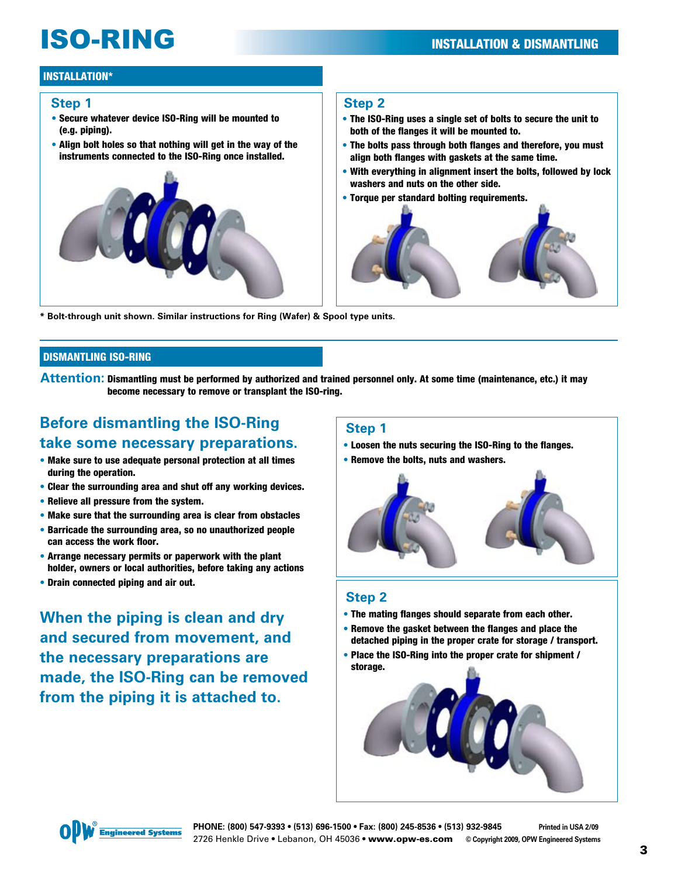# **ISO-RING INSTALLATION & DISMANTLING**

#### INSTALLATION\*

#### **Step 1**

- Secure whatever device ISO-Ring will be mounted to (e.g. piping).
- Align bolt holes so that nothing will get in the way of the instruments connected to the ISO-Ring once installed.



#### **Step 2**

- The ISO-Ring uses a single set of bolts to secure the unit to both of the flanges it will be mounted to.
- The bolts pass through both flanges and therefore, you must align both flanges with gaskets at the same time.
- With everything in alignment insert the bolts, followed by lock washers and nuts on the other side.
- Torque per standard bolting requirements.



**\* Bolt-through unit shown. Similar instructions for Ring (Wafer) & Spool type units.**

#### DISMANTLING ISO-RING

**Attention:** Dismantling must be performed by authorized and trained personnel only. At some time (maintenance, etc.) it may become necessary to remove or transplant the ISO-ring.

### **Before dismantling the ISO-Ring take some necessary preparations.**

- Make sure to use adequate personal protection at all times during the operation.
- Clear the surrounding area and shut off any working devices.
- Relieve all pressure from the system.
- Make sure that the surrounding area is clear from obstacles
- Barricade the surrounding area, so no unauthorized people can access the work floor.
- Arrange necessary permits or paperwork with the plant holder, owners or local authorities, before taking any actions
- Drain connected piping and air out.

**When the piping is clean and dry and secured from movement, and the necessary preparations are made, the ISO-Ring can be removed from the piping it is attached to.**

#### **Step 1**

- Loosen the nuts securing the ISO-Ring to the flanges.
- Remove the bolts, nuts and washers.



### **Step 2**

- The mating flanges should separate from each other.
- Remove the gasket between the flanges and place the detached piping in the proper crate for storage / transport.
- Place the ISO-Ring into the proper crate for shipment / storage.



**PHONE: (800) 547-9393 • (513) 696-1500 • Fax: (800) 245-8536 • (513) 932-9845 Printed in USA 2/09** 2726 Henkle Drive • Lebanon, OH 45036 **•** www.opw-es.com **© Copyright 2009, OPW Engineered Systems**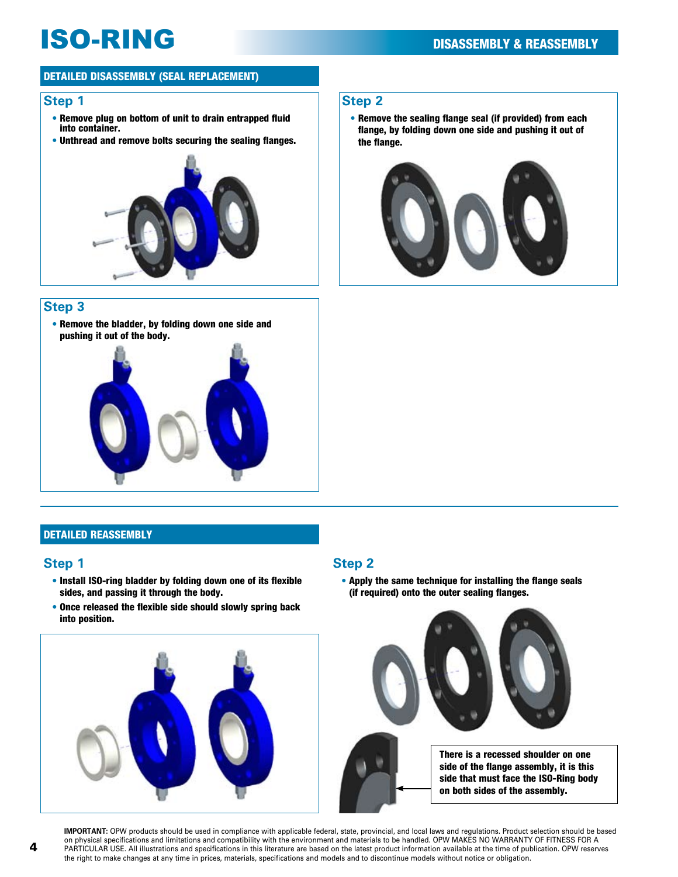# **ISO-RING** DISASSEMBLY & REASSEMBLY

#### Detailed Disassembly (seal replacement)

#### **Step 1**

- Remove plug on bottom of unit to drain entrapped fluid into container.
- Unthread and remove bolts securing the sealing flanges.



#### **Step 3**

• Remove the bladder, by folding down one side and pushing it out of the body.



### Detailed reassembly

- Install ISO-ring bladder by folding down one of its flexible sides, and passing it through the body.
- Once released the flexible side should slowly spring back into position.



#### **Step 2**

• Remove the sealing flange seal (if provided) from each flange, by folding down one side and pushing it out of the flange.



#### **Step 1 Step 2**

• Apply the same technique for installing the flange seals (if required) onto the outer sealing flanges.



There is a recessed shoulder on one side of the flange assembly, it is this side that must face the ISO-Ring body on both sides of the assembly.

**IMPORTANT:** OPW products should be used in compliance with applicable federal, state, provincial, and local laws and regulations. Product selection should be based on physical specifications and limitations and compatibility with the environment and materials to be handled. OPW MAKES NO WARRANTY OF FITNESS FOR A PARTICULAR USE. All illustrations and specifications in this literature are based on the latest product information available at the time of publication. OPW reserves the right to make changes at any time in prices, materials, specifications and models and to discontinue models without notice or obligation.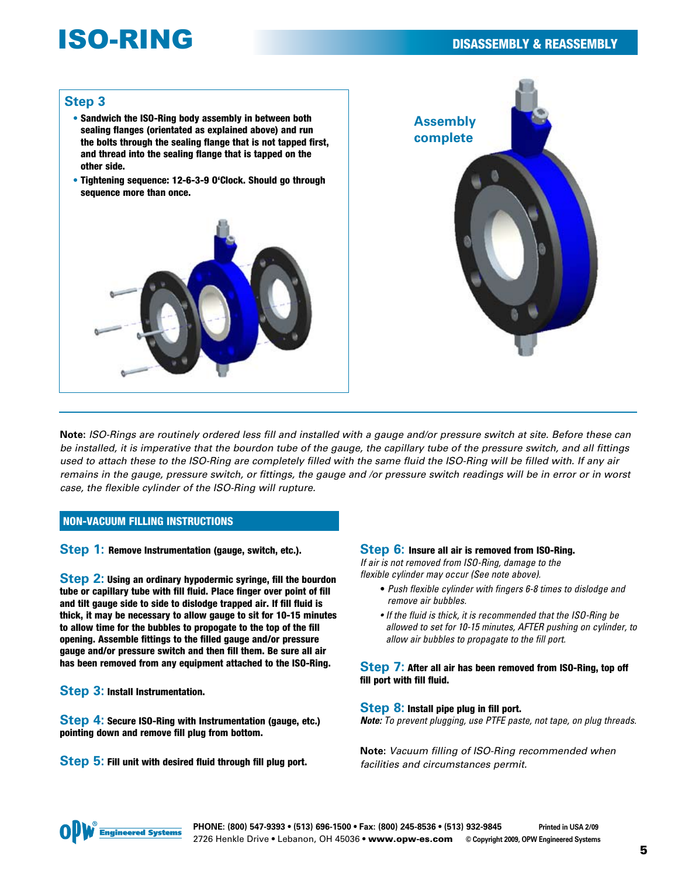## **ISO-RING** DISASSEMBLY & REASSEMBLY

#### **Step 3**

- Sandwich the ISO-Ring body assembly in between both sealing flanges (orientated as explained above) and run the bolts through the sealing flange that is not tapped first, and thread into the sealing flange that is tapped on the other side.
- Tightening sequence: 12-6-3-9 O'Clock. Should go through sequence more than once.





**Note:** *ISO-Rings are routinely ordered less fill and installed with a gauge and/or pressure switch at site. Before these can be installed, it is imperative that the bourdon tube of the gauge, the capillary tube of the pressure switch, and all fittings used to attach these to the ISO-Ring are completely filled with the same fluid the ISO-Ring will be filled with. If any air remains in the gauge, pressure switch, or fittings, the gauge and /or pressure switch readings will be in error or in worst case, the flexible cylinder of the ISO-Ring will rupture.* 

#### Non-Vacuum Filling Instructions

**Step 1: Remove Instrumentation (gauge, switch, etc.).** 

**Step 2:** Using an ordinary hypodermic syringe, fill the bourdon tube or capillary tube with fill fluid. Place finger over point of fill and tilt gauge side to side to dislodge trapped air. If fill fluid is thick, it may be necessary to allow gauge to sit for 10-15 minutes to allow time for the bubbles to propogate to the top of the fill opening. Assemble fittings to the filled gauge and/or pressure gauge and/or pressure switch and then fill them. Be sure all air has been removed from any equipment attached to the ISO-Ring.

**Step 3:** Install Instrumentation.

**Step 4:** Secure ISO-Ring with Instrumentation (gauge, etc.) pointing down and remove fill plug from bottom.

**Step 5:** Fill unit with desired fluid through fill plug port.

#### **Step 6:** Insure all air is removed from ISO-Ring.

*If air is not removed from ISO-Ring, damage to the flexible cylinder may occur (See note above).*

- *Push flexible cylinder with fingers 6-8 times to dislodge and remove air bubbles.*
- If the fluid is thick, it is recommended that the ISO-Ring be *allowed to set for 10-15 minutes, AFTER pushing on cylinder, to allow air bubbles to propagate to the fill port.*

#### **Step 7:** After all air has been removed from ISO-Ring, top off fill port with fill fluid.

#### **Step 8:** Install pipe plug in fill port.

*Note: To prevent plugging, use PTFE paste, not tape, on plug threads.*

**Note:** *Vacuum filling of ISO-Ring recommended when facilities and circumstances permit.*